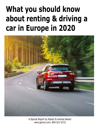# **What you should know about renting & driving a car in Europe in 2020**



A Special Report by Robert & Andrew Bestor www.gemut.com, 800-521-6722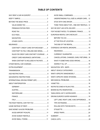# *TABLE OF CONTENTS*

| CDW/THEFT: CREDIT CARD OR PURCHASE? 4      |  |
|--------------------------------------------|--|
| CDW/THEFT IN ITALY, IRELAND AND ISRAEL4    |  |
| RULES FOR CREDIT CARD CDW/THEFT COVERAGE 4 |  |
| CREDIT CARD INSURANCE LIMITATIONS 5        |  |
| WHEN CDW/THEFT IS INCLUDED IN THE RATE 6   |  |
|                                            |  |
|                                            |  |
|                                            |  |
|                                            |  |
|                                            |  |
| INTERNATIONAL DRIVING PERMIT (IDP)  8      |  |
|                                            |  |
|                                            |  |
|                                            |  |
|                                            |  |
|                                            |  |
|                                            |  |
|                                            |  |
|                                            |  |
| SAVE MONEY & AVOID PROBLEMS11              |  |
|                                            |  |
|                                            |  |
|                                            |  |

| UNDERSTANDING FULL-SIZE & LARGER CARS12    |  |
|--------------------------------------------|--|
|                                            |  |
| THINK TWICE ABOUT INTL. ONE-WAY RENTALS12  |  |
|                                            |  |
| FOR THE BEST RATES, IT'S GERMANY, FRANCE12 |  |
| EUROPEAN RENTAL CAR CHECKLIST13            |  |
|                                            |  |
|                                            |  |
|                                            |  |
| OVERSEAS CAR RENTAL BROKERS15              |  |
|                                            |  |
|                                            |  |
| CANCELLATIONS, CHANGES, EARLY RETURNS16    |  |
| WHAT IF SOMETHING GOES WRONG16             |  |
|                                            |  |
|                                            |  |
|                                            |  |
|                                            |  |
|                                            |  |
|                                            |  |
|                                            |  |
|                                            |  |
|                                            |  |
|                                            |  |
| DRIVING EUROPE'S SUPER HIGHWAYS 19         |  |
| LEFT LANE, RIGHT LANE, A BIG DIFFERENCE 19 |  |
|                                            |  |
|                                            |  |
|                                            |  |
|                                            |  |
|                                            |  |
|                                            |  |
|                                            |  |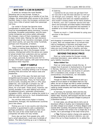# **WHY RENT A CAR IN EUROPE?**

<span id="page-2-0"></span>A rental car remains the most flexible, liberating way to see Europe. Except in Switzerland, where there are a handful of car-free villages, the automobile offers access to the tiniest hamlets. Keep in mind, the European continent has many more miles of paved roads than passenger rail lines.

Car rental in Europe has become more complicated in recent years. The car shopper must be knowledgeable about insurance, currency exchange, European automobiles, and the ways rental companies and online sellers obfuscate the charges—many of them mandatory—added to basic rental rates. Making the right decisions regarding type of car, insurance coverages, pickup and return points, can save the renter hundreds, perhaps even thousands, of dollars.

 This booklet has been designed to assist the reader in making those decisions. To help in understanding our role in the European rental process, interspersed within the advice are copies of actual emails from customers and our partner of 25 years, Auto Europe. They demonstrate our unique, personal, full-service and 24/7 in-Europe, third-party support, with post-rental billing assistance when required.

# **KEEP IT SIMPLE**

'Keep it simple' is good advice in many of life's endeavors, including renting a car in Europe. Avoiding frills and extras will reduce costs and headaches.

At the start of the year, the best and most straightforward European rental car deals were in France and Germany. There, for from about \$135 to \$150, including the 20% or 19% value added tax, one could get a compact car, VW Golf or similar with air-conditioning and four doors, for a full week. Those prices, however, can quickly escalate if you start adding such extras as additional drivers, automatic transmission, navigation (GPS), starting or ending the rental in a different country, and so on. Such embellishments may also add complications.

You will find rates much higher in Austria, Switzerland, Portugal, the Scandinavian countries and a few others

Picking up a car in one country and returning it another is guaranteed to add a substantial perhaps prohibitive—cost element, often more than the cost of the rental itself and not all companies will allow one-way rentals.

Every day we hear from people who, with just a small adjustment, could save hundreds of dollars. The idea of picking up a car in Salzburg

*Hi Sabrina,*

*I wanted to let you know we got back from our trip and it was the best decision to rent our car through your company. Pick up + drop off was a breeze and when we needed assistance and couldn't contact either of the Hertz locations in Munich, your 24/7 customer service line was there and* promptly provided helpful information. It was so nice to feel supported and assisted; it enabled us to travel stress free and enjoy our time.

*Thanks so much + I look forward to using your services in the future! Akiko*

and dropping it somewhere in Germany is a case in point. Why not instead take a 10-minute train ride to Freilassing in Germany and begin your rental there? You'll get the car in Germany where rates are much lower than in Austria, and also avoid the \$125-to-\$300 international drop charge.

# **BEYOND THE BASIC PRICE**

Most car rental quotes for Europe include unlimited kilometers, value added tax, and thirdparty liability insurance.

### *Value Added Tax*

Most car rental quotes include this tax. It ranges from 8 percent in Switzerland to 25 percent in Norway. Germany is 19 percent, France 20 percent, Italy 22 percent, and Austria 21 percent. VAT is mandatory and, except in very rare, extraordinary circumstances, not refundable.

### *Premium Station Fees*

Though it is often more expensive to pick up a rental car at an airport or rail station than at a city office, we can no longer say that in certain countries the premium station fee is a specific percentage. It varies by rental company and most have changed their pricing formulae.

In Germany, for example, Hertz and Avis city rates are now almost as much as airport and rail station rates. However, with Europcar and Sixt it is still anywhere from 13 to 24-percent cheaper to pickup at a downtown location.

In most cases, you will pay less to rent a car at downtown offices in Austria, but in Switzerland rates are often cheaper at an airport. In France, Belgium and several other countries, the premium station charge is a flat fee whether the rental is for a single day or a month, not a percentage of the total rental price.

 $✓$  **Tip:** Premium station charge only applies to rentals *originating* at premium stations; you can return the car to these locations for no added fee.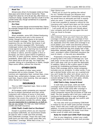### *Road Tax*

<span id="page-3-0"></span>Almost every driver of a European rental car these days pays some kind of road or license fee. These range from about \$1.10 to \$5 per day, often there is a maximum charge. Usually the road tax is built-in to the overall rental cost, though sometimes it's a separate fee paid locally.

### *Eco Fees*

Some countries charge environmental fees. France, for example charges €8 per day to a maximum €48 on all automatics.

### *Navigation*

When available, some GPS (Global Positioning System) devices work only in the country of rental, though the trend seems to be toward much broader coverage. The larger and more expensive the car, the better the chance it will come with factory-equipped GPS. Technicallychallenged renters may find limited availability of rental agents to assist in learning how to operate the car's nav system. In Germany, if your car is midsize or above, and the supplier is Avis or Europcar, you have a good chance of getting a free GPS. In other countries, however, there is less availability. When GPS is an option, charges range from about \$8 to \$25 per day. You might also consider relying on a smartphone or tablet; Google Maps works offline, without the Internet.

# **OTHER COSTS**

There are plenty of other ways rental companies pile on extra charges. The most common are registration fees, contract fees, crossborder fees, winterization charges, even credit card fees. Inquire when booking. Also see page 6, *Other Rental Car Charges*.

# **INSURANCE**

This is a VERY important topic. Here is what you need to know:

All European rental companies are required by law to protect themselves and their rental customers with millions of euros in third-party liability insurance. In other words, it is the rental company that covers the customer for damage to property and persons outside the vehicle. What you are responsible for is damage to, or theft of, the car you rented. For that you need Collision (CDW) and theft insurance.

### *CDW/Theft: Credit Card or Purchase?*

Except in countries where you are required to purchase CDW/theft, we recommend rentals be paid for with a credit card that provides free CDW/theft coverage. Those who sell CDW/ theft point out that most credit cards offer only "secondary" coverage. While that is true, it's

### *Dear Gemut.com*

*Thank you so much for getting the refund for us! I booked through you because your advertisement said that if something went wrong, we would have an advocate and that is exactly what you were! I would not have known that it was even possible to request a refund for the insurance and I would have been out the money. Thanks for going the extra mile on our behalf.*

*I will surely tell my family and friends about your company and will use you again the next time we travel to Europe.*

*Lori*

also irrelevant. Since you won't *have* any other coverage in Europe unless you purchase it from the rental company (something you don't want to do, especially since the credit card coverage is so much better) your credit card becomes primary. The CDW/theft insurance sold by rental companies costs \$10 to \$50 per day and usually has a high deductible, between \$800 and \$4000. Your credit card...provided it offers CDW/theft insurance (be sure to check)...is free and zero deductible.

Proponents of buying CDW/theft are fond of saying that in the event of damage you "just walk away" at the end of the rental. Not so. You don't walk away until you've paid the deductible. In addition, failure to file a police report is often grounds for invalidating purchased insurance. Some CDW coverage sold by rental companies excludes one-car accidents. In other words, if you get a dented fender while your car is parked and you can't locate the other car's driver, you're on the hook for the repairs. Many CDW policies also exclude damage to the car's roof, glass, wheels, undercarriage, side mirrors and interior.

### *CDW/Theft in Italy, Ireland & Israel*

In both Italy and Israel, CDW and theft coverage must be purchased from the rental company. Some credit cards offer coverage in Italy, but it means nothing because all major rental companies require the purchase of CDW and theft. The only question left is will your credit card reimburse the deductible in case of damage or theft? Apparently only Visa will, but confirm with them. This is a murky area.

You may also wind up purchasing CDW/theft in Ireland as not all credit cards provide coverage there. Check with your credit card company. In addition, to avoid purchasing CDW/theft from most Ireland rental companies, the renter must show written proof of credit card coverage.

### *Rules for Credit Card CDW/Theft Coverage*

Prior to your departure, contact your credit card company to confirm that your card provides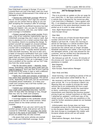<span id="page-4-0"></span>free CDW/theft coverage in Europe. If you are covered there are just a few basic rules you must follow to ensure reimbursement if the rental car is damaged or stolen.

• Decline the CDW/theft coverage offered by the car rental company. Don't sign any contract unless you are certain that by doing so you are NOT accepting the company's offer of coverage.

If you accept the proffered insurance two bad things can happen: one, you pay for expensive CDW/theft insurance, and, two, your better credit card coverage is invalidated.

• Protect yourself at the rental counter. Every year a few of our customer inadvertently sign for CDW/theft coverage they don't need or want. But once a signature is on a rental contract that calls for insurance, there's no avoiding the charge. To protect yourself we suggest an unusual strategy. First, record the transaction at the rental car counter with a smartphone, and then, just above your signature write: "I hereby decline optional CDW and theft insurance." Be sure to also carry a letter of insurance certification from your credit card company. The purpose is to show the rental agent that you have insurance that will reimburse the rental company if their car is damaged. If you have a problem at the counter, call our 24/7 help line from the rental counter

• Pay for the entire rental – deposits, taxes extras, everything—with the same credit card you used to reserve it. Don't pay that 20 euro road tax at the end of the rental in cash or with a different credit card. You'll invalidate the insurance.

• Notify the credit card company of damage or loss within their specified time period. This period varies, depending on the card, but we recommend immediate phone notification. It is likely your credit card company has a toll-free number you can use overseas.

• Submit your reimbursement claim within your credit card's specified time limit, typically within 45 days after the damage or loss, though that may vary by credit card company.

### *Credit Card Insurance Limitations*

• Coverage applies to the cardholder whose name appears on the car rental contract. Other drivers listed on the rental contract are also covered.

 $✓$  **Caution:** If you use your card to pay for another person's rental, that person will not be covered for CDW/theft. For coverage, the rental must be in the name of card holder. If additional drivers are added they are also covered.

• Be aware that some vehicles are exempt from credit card CDW/theft coverage. Exotic

# *24/7 In-Europe Service*

### *Hello Bob,*

*This is to provide an update on the car swap for your client Mrs. X. We have confirmed with Avis a vehicle that is blocked for her tomorrow after 2 pm local time in Miesbach. I have spoken with Mrs. X via telephone and she has confirmed she will proceed to the same downtown location she picked up at in order to swap vehicles.*

*Axel, Night Reservations Manager Auto Europe Group*

### *Dear Bob,*

*This to advise you of Auto Europe Reservation number US####### for Mr. Larry X. We fielded a call from Mr. X early this morning to advise he had been in a vehicle accident close to the German/CZE Rep border, he was not injured but the vehicle was no longer drivable. Roadside assistance was called, a tow truck took the damaged vehicle, a taxi was phoned for the customer, and we verified Avis had directed Mr. Newman to a replacement vehicle.*

*We followed up with Mr. X every 30 minutes of the process and have left a voicemail if further assistance is needed.* 

*Best Regards, Kyle Inman, Auto Europe, Reservations Manager*

*Dear Andy and Bob,*

*Good morning, I am emailing to advise of the an issue with Reservation US4673608 for Ms. X.*

*We received a call from Europcar Pisa to inform upon arrival, Ms. X is on Europcar's Watch List. Meaning they are unable to provide the rental vehicle due to an outstanding bill from a past rental. We immediately moved the reservation to Hertz, confirming a 9-passenger manual transmission and matching the previous quoted pricing to get our mutual customers on their* way. *I attached an updated / confirmed copy of the rental voucher. If you have any questions or the need for further assistance please do not hesitate to contact me.*

*Unfortunately Auto Europe does not have immediate access to the information pertaining to this Europcar Watch List issue. If you would like Auto Europe to investigate this matter with Europcar please advise and we will assist.*

*Kyle Inman Reservations Manager, Auto Europe*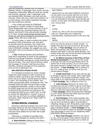<span id="page-5-0"></span>cars and expensive vehicles such as Porsche, Bentley, Ferrari, 9-passenger vans, trucks, and top categories of Mercedes, BMW and Audi are usually not covered. However, most 7-passenger vans and selected BMW, Mercedes, and Audi cars are covered. Check with your credit card company. For a small charge, Amex offers expanded coverage for more expensive vehicles.

• Your credit card limits its CDW/theft coverage to a certain number of rental days. Some Mastercards cover rental contracts of up to 15 days. Most Visa, American Express (see Tip below), and Diner's Club cards provide coverage to 31 days. *If your rental period exceeds those limits you will not be covered for any portion of the rental*. Check with your credit card.

 In some cases, in order to decline the rental company's offer of insurance, you may have to provide proof of insurance. Your credit card company can email you a letter that proves you have CDW/theft coverage. We suggest you carry that letter with you to Europe to show at the rental counter.

 $\checkmark$  **Tip:** American Express card members may find it worthwhile to enroll in the company's Premium Car Rental Protection. Enrollees in this plan get CDW/theft coverage on rental contracts as long as 42 days. The cost is \$19 to \$25 per rental but coverage is "primary" and there are other benefits, including coverage of more expensive cars and the 9-passenger van.

### *When CDW/Theft is Included in the Rate*

It is standard procedure for online, Europebased car rental brokers to offer insurance for collision (CDW) and theft as part of their basic price, not as an option. Sounds great but there's a catch. *This something to be avoided.* Your credit card provides better coverage for free. This included CDW and theft insurance often carries a substantial deductible, usually in the \$1,000 to \$3000 range and you do not have the option of declining this insurance and relying on the coverage provided by your credit card. In order to reduce the deductible or "excess" to zero or near zero you will have to purchase additional insurance, often referred to as "Super CDW" or "Super Cover."

# **OTHER RENTAL CHARGES**

Knowing in advance precisely how much your European rental car will cost is becoming ever more difficult. Most of us know there is a basic rate plus value added tax but after that it gets complicated.

Following is a checklist of possible extra charges and strategies for dealing with them:

**• Extra Drivers:** Adding an extra driver—

### *Dear Mahlon,*

*Apparently you have been billed for insurance. As you paid a zero-excess rate this is in error. Auto Europe is in contact with Europcar and if it is not refunded by Europcar, Auto Europe will refund. It may take a few days but you will get your money back.*

*Bob*

*Hi Bob,*

*Thank you, this is why we love booking with you. Appreciate your insight and understanding. Looking forward to the next trip.*

*Best,*

*Mahlon*

which can only be done at a rental counter— is seldom free and can cost as much as \$6 to \$25 per day.  $\vee$  **Your strategy:** Use one driver. If that's not practical, then determine the cost in advance and factor it into the rental decision. The lowest rental rate may not be the best overall deal once you add extra driver charges.

**• In Which Currency is the Price of Your Rental Guaranteed?:** If you pay for the rental in Europe, the rate will be guaranteed not in US dollars but in local currency, so you won't know the exact amount in dollars until your credit card bill arrives.  $\vee$  **Your strategy:** Pay in advance in the U.S., making sure, of course, that you can cancel without charge.

**• Credit Card Fees:** If you wait until you get to Europe to pay for your rental, most credit cards will charge a 3% foreign transaction charge. The same goes if you book through an overseas broker. a**Your strategy**: Pay in advance in the U.S.

**• Late Charges:** Bring the car back a few minutes late and you're likely to get an extra day's rental charge tacked on to your bill. Gone are the days of a one-hour grace period for late returns.  $\checkmark$  **Your strategy:** Check the pickup time stamped on your rental contract and make sure you return the car earlier than that time.

**• Fuel Charges:** If the rental company has to fill the fuel tank when you return the car, you'll pay as much as \$18 per gallon, and perhaps a refuelling charge as well. Bring back a near-empty tank and you might pay more than \$200 for fuel plus a refueling charge. **v Your strategy:** Fill up as close to the return location as possible and save your gas receipt in case you are mistakenly billed post-rental refueling charges.

**• More Fuel Charges:** Whether you want it or not, some European rental stations charge for the first tank of gas and expect you to return an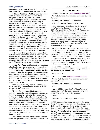<span id="page-6-0"></span>empty tank. **v Your strategy:** Not many options here other than to bring the car back on fumes.

**• Diesel Additive - AdBlue:** Your European rental car may have a diesel engine. While everyone knows the fuel tank of a internal combustion engine must be periodically refilled, there is another product required to keep a European diesel engine running. It's a liquid additive called AdBlue. When AdBlue runs low it adversely affects engine performance. When it's gone the engine will no longer operate. Though there is an AdBlue dashboard warning light there is no gauge to track its level. Thus, when the agent at the rental counter hands you the keys to a diesel engine car make sure the AdBlue level is full, just like the fuel tank. If AdBlue has to be refilled, you can do so at most service stations. It is usually added next to where the fuel tank is refilled and its cap is usually blue. It only has to be replenished every 3000 to 6000 miles. If you must do so, however, keep your receipt as you can probably be reimbursed by the rental company.

**• Cleaning Charges:** Returning a rental car that requires extraordinary cleanup measures – pet hair on the upholstery, for example - can trigger extra charges on your credit card bill.  $\vee$  **Your strategy:** Take care of the rental car; don't assume the supplier will accept it any condition.

**• One-Way Fees:** Until about two years ago, a fee to pick up a car in one city and return it in a different city in the same country was a rarity. In 2020, however, domestic one-way fees are the rule rather than the exception. In some instances you will even pay to return the car to a diffferent location in the same city—downtown to airport, for example. For the most part these charges range from about \$15 to \$50, but in some cases they can be as high as \$200.

International one-way rentals—dropping the car in a country other than the country of rental always call for a hefty fee.

Why so? Cars registered in France, for example, cannot be rented in another country, so the rental company must ship the vehicle back to France or find a renter who will return it to its point of origin. That can take several days which removes the car from revenue service. One-ways between cities such as Frankfurt and Paris are more affordable because it's fairly easy for a rental company to find a customer who will return the car to where it came from, thus making the oneway charge fairly low (about 200 euros). But make the cities Frankfurt and Caen and the one-way can double or triple.

One-way fees on rentals that involve Italy or Spain are quite expensive, typically in the \$500 to

### *We've Got Your Back*

*From: Robert Bestor [<mailto:bob@gemut.com>]*

*To: Auto Europe, International Customer Servcie Manager* 

*Subject: Re: USVoucher # 3333333*

*Hi Auto Europe Customer Service Team:*

*I may be missing something but the signed rental agreement does not seem to show a CDW charge of €216. On the untitled document, which does not bear Mr. xxxxx's signature or initials, I see the line item "CDW = 26000 TP = 26000," but I don't see the €216 anywhere. On the signed rental agreement is a charge of €145.64 for "Mietkosten fahrzeug-gruppe basis-leistung" (Rental costs vehicle group base performance???). There seems to be no explanation of that charge.*

*Based on the documents provided, I don't see how Mr. xxxxxx could have known he was signing for €216 for Super CDW. It is not clear that he even saw the untitled document. According to the reservation system for this rental, Super CDW is to reduce the CDW deductible to zero. Why then would there be a charge for Super CDW when there is no charge for regular CDW? There seems to be no deductible to reduce.*

*Since 2002, Mr. and Mrs. xxxxx have rented 59 cars from Gemut.com/Auto Europe and have never before purchased CDW.* 

*Many thans, Bob*

*To: Robert Bestor [\[mailto:bob@gemut.com\]](mailto:bob@gemut.com)*

*From: Auto Europe, International Customer Servcie Manager* 

*Subject: Re: USVoucher # 3333333*

*Hi Bob,*

*I agree 100% - we will refund the client and deduct from Avis Germany and not waste any more time going back to the supplier*

*Thanks!*

*Customer Service Manager, Auto Europe*

\$1500 range, *not including the cost of the rental itself*. A one-way rental between Scandinavia and Italy, provided you can find a rental company that will do it, will be at least \$1500. High fees also apply when pickup is in an eastern European country and return is in a western European country (and vice versa); and sometimes it's just not possible. So don't paint yourself into corner by booking "open jaw" travel that has you arriving in, say, Frankfurt and leaving from Rome or Warsaw,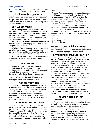without first fully understanding the cost of travel between the two cities, be it by car, air, or rail.

**• Other Charges:** Some rental cars in France, mainly automatics and larger cars, pay an environmental fee. In Ireland, some companies charge a one-time credit card fee. There is also a trend toward "cross border" fees for driving out of the country of rental.

# **EXTRA EQUIPMENT**

**• GPS Navigation:** Sometimes free on upscale cars but seldom on economy, compact or midsize vehicles. Prices vary from about €8 per day to €25, with maximums as high as €200 for longer rentals. Some GPS systems operate only in the country in which the car was rented.

**• Seats for Children:** These are mandatory in most countries. Expect to pay about from €10 to €65 per rental, per seat.

**• Winter Tires:** Mandatory in some countries, but often unavailable in countries other than Germany, Austria and Switzerland. The winter tire fee is usually included in the basic rate.

**• Ski Racks:** Available for most cars at about \$10 per day to a maximum of about \$60 per rental.

# **TRANSMISSION**

An ability to drive a car with standard transmission will save on your European rental car. In addition, vans and stations with automatic transmissions are somewhat scarce in Europpean rental fleets. In some countries, automatic transmission costs 50-percent more than the same car with manual transmission. The message is clear, learn to drive a 'stick.'

# **AGE RESTRICTIONS**

There is no upper age limit for renting a car in most countries. However, a few companies in Ireland, the U.K., Denmark, and certain eastern countries won't rent to older drivers, though exceptions are often possible. Minimum renting age ranges from 19 to 24 and in most cases drivers in this age range must pay extra fees and/ or purchase CDW.

# **GEOGRAPHIC RESTRICTIONS**

Most European rental cars can be driven anywhere in Western Europe and even into such former Eastern bloc countries as Poland, Czech Republic, Slovakia, Slovenia, Croatia, and Hungary. Cars bound for countries such as Romania, Bulgaria, Serbia, Bosnia, and former Soviet Union countries will substantially cost more and may require additional insurance. Certain expensive

*Europcar has responded to our request to review the billing from your client's recent rental and have agreed to adjust their billing to Auto Europe so that we may credit the client for the unused days due to medical reasons. They have also refunded the International one-way fee.*

*The one-way fee was paid at 581.76 euros locally. This amount was refunded by Europcar to the credit card. We have also refunded \$722.30 to the Visa card for the unused days. Please allow 3-5 business days for this credit to appear on his statement.*

*Sincerely, Auto Europe LLC Customer Service*

cars may not be taken to Italy and most cars rented in Europe are not permitted to travel to Africa or certain islands. When reserving the car be sure to ask about geographic restrictions.

# **INTERNATIONAL DRIVING PERMIT (IDP)**

Though it is unlikely you will need to show an IDP at a rental counter, it is the law in several countries and there are reports of customers without the IDP being denied cars. Countries that require an International Driving Permit are Austria, Bosnia-Herzegovina, Croatia, the Czech Republic, Germany, Greece, Hungary, Italy, Poland, Romania, Slovenia, Slovakia, and Spain.

There are stiff fines for those who encounter the law and can't produce an IDP. It is not a separate license but a translation and verification of home driver's license. The document supplements but does not replace the home license which is necessary to rent a car anywhere in Europe. The IDP is available for about \$20 at AAA and National Auto Club (NAC) offices.

 $\checkmark$  **Tip:** Beware online scammers who sell IPDs for from \$35 to \$100; only AAA and NAC are authorized by the U.S. State Dept. to issue the IDP.

# **ABOUT WINTERIZATION**

### *Germany*

German law requires winter tires when driving in "wintry" conditions and rental car companies charge extra for them, though the charge is usually included in the basic rental car rate. The penalty if your car doesn't have winter tires, and you are caught driving in snow, is about €40. Worse, however, you may be financially liable if you don't have them and are involved in an accident on snow. And, since you would be breaking the law, driving without winter tires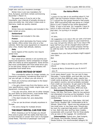<span id="page-8-0"></span>might also void your insurance coverage.

Winter tires in are now mandatory for Avis, Europcar, and Hertz rentals commencing November 1-March 31.

The good news is if you're not in the mountains, your chances of actually driving on snow are pretty low. And when it does snow in Germany, roads are quickly cleared.

### *Austria*

Winter tires are mandatory and included in the basic rental car price.

### *Switzerland*

Mandatory and included in the rate.

### *France*

Europcar, which dominates the France rental car market, offers winter tires only on a few vehicles. Hertz has snow equipment on request at only a few, mostly high altitude, stations.

### *Italy*

Some regions of the country now require winter tires

### *Other countries*

Four-wheel drive vehicles in all countries are scarce and expensive. Some companies no longer offer tire chains as extra equipment. Some drivers feel more comfortable with front-wheel drive cars in ice and snow, though no rental company will guarantee front-wheel drive.

# **LEASE INSTEAD OF RENT**

This a wonderful option for longer rentals; no insurance uncertainty, wondering what kind of car you will get, or where you can drive it.

There are numerous advantages to the lease/ buy-back program:

• You get a brand-new-from-the-factory car to your specifications; exact model, engine type, and equipment, including GPS.

• You pay one price, there are no other charges for such items as extra drivers, cross border fees, GPS, premium station fees, and others.

• The deal includes full, zero-deductible insurance

• The car can be driven virtually anywhere in Europe.

• No extra charge for multiple drivers

# **THE RIGHT RENTAL CAR FOR YOU**

When choosing a car for Europe you should first come to grips with the reality that there are no Ford Victorias or Lincoln Town Cars in European rental fleets. That kind of passenger room and

### *Our Advice Works*

### *Hi Bob,*

*I guess it's too late to do anything about it, but after I left the Frankfurt Airport (Hertz) on Dec 12 I noticed the fuel gauge showed a half empty tank. With everything that was going on I forgot about it until I looked at the rental agreement today. It says a full tank. So I suppose I have to return it with a full tank. I'll be out over \$40 on that deal. I'm turning it in tonight.*

*John M.*

### *Hi John,*

*My suggestion is to return the car with a full tank and request a refund. Based on past experience, you may not get the refund, but if you return the tank half full you will be charged about \$18 per gallon plus a fee for the rental company having to refill the tank. The total charge could be over \$100.*

*Receipts from your f*uel purchases might support your claim.

*Bob*

*Hi Bob,*

*It worked! I filled it and they gave me a €45 refund.* 

*Thanks & Merry Christmas to you & yours!!!*

### *John M.*

trunk space doesn't exist. You can rent S-class Mercedes, 7-series BMWs, and Audi A8s, but they start at more than \$800 per week, require two credit cards at pickup, can't be driven into Italy or any eastern country, and are probably excluded from credit car insurance. So get used to the idea of Opels, VWs, Fords, Peugeots, Fiats, Seats, Skodas, and smaller Mercedes, BMW and Audi.

**Subcompact/Economy:** Typical cars: Opel Corsa, VW Polo, Fiat Punto. Okay for two persons not interested in burning up the Autobahn. Trunk space is small and once in a while there is no airconditioning.

**Compact:** Typical cars: Opel Astra, VW Golf, Ford Focus, Peugeot 308. Comfortable at 80 to 90mph. Good trunk - figure one big suitcase and two small ones, or two large ones. Should also be room for a garment bag and/or a soft duffel or two. Both two-door and four-door models, occasionally with a sunroof. Fine for three adults who go easy on the luggage. Air-conditioned.

**Intermediate:** Typical cars: Opel Insignia, VW Passat, Ford Mondeo, Renault Laguna, Skoda Octavia. Our recommended category for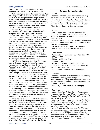<span id="page-9-0"></span>two couples. O.K. on the Autobahn but a bit underpowered with four people and luggage.

**Full-size:** Typical cars: Mercedes C-class, Audi A4, Peugeot 607. Full-size is a misnomer. Most of the cars in this category are no larger, in some cases smaller, than the intermediate VW Passat. If you want a nicer car, by all means rent a full-size; but if you're only moving up for extra passenger and luggage space you're wasting your money. (See *About Vehicle Categories*" on page 17)

**Station Wagon:** Sometimes referred to in Europe as a Kombi. Come in three sizes: compact (VW Golf, Opel Astra), midsize (Vectra, VW Passat) and full-size (Volvo V70). There also station wagons in the luxury and premium categories. You pay more for a wagon than for the same model sedan. Though wagons offer more luggage space, unless you pull the retractable cover—which reduces the luggage space—your gear is exposed. For four people we like the midsize sedan over the compact wagon; more passenger comfort and almost as much luggage room. In a pinch, the midsize and fullsize wagons can carry five people but someone has to ride in the rear center seat. In that case a 7-passenger van is our recommendation.

**MPV (Multi-Purpose Vehicle):** Somewhat new to European rental fleets are "crossover" vehicles such as VW Touran, Opel Zafira and Renault Grand Scenic. These combination SUV/ wagon/van vehicles have created a new rental category, "Intermediate Special" or "Intermediate Van." Though sometimes sold in Europe as seven seaters, in most rental fleets these cars come with just five seats, leaving the rear area as luggage space. In passenger and luggage room they are comparable to a midsize station wagon. In our opinion these cars are more comfortable for four persons and luggage than a regular intermediate sedan or even an intermediate station wagon.

 $✓$  **Warning:** Some companies advertise these cars for six and seven passengers. Yes, some MPVs come with two folding jump seats but they occupy ALL the luggage space and are not suitable for more than five passengers.

**Vans:** You're taking the family to Europe and everybody wants to ride together in the same vehicle. One of those seven-passenger minivans sounds like just the ticket for your party of six. There are two important reasons why you may be better off with two midsize cars; luggage space and money. A seven-passenger vehicle may be OK for hauling kids to soccer games but will it have enough storage space to handle luggage for six persons traveling in Europe? You can move up to a roomier nine-passenger van but your credit card (unless it's Amex with Premium Car Rental

### *Customer Service Examples*

### *Hi Bob*

*Please be advised, Hertz have confirmed they have refunded the client €343.91 GPS fee. They have informed us the adjustment is being made today, but may not appear on the next monthly statement due to billing cut-off dates. (Auto Europe Customer Service Manager)*

### *Hi Bob*

*With this one, unfortunately, Budget US is not going to refund. The rental agreement was signed, it shows as Accepted, and the amount was disclosed.*

*However, based on Mr. X's loyalty to Gemut.com and Auto Europe, we will refund 50% of the cost as a gesture of goodwill.*

*We have credited \$70.00 to the Visa card. (Auto Europe Customer Service Manager)*

### *Dear Sabrina,*

*Please note, the customer was billed (Incl VAT): €90.00 – GPS €50.00 – Additional Driver €140.00 – Total*

*As the GPS was listed as included in the prepayment, we have refunded the €90.00 as \$106 to the credit card. (Auto Europe Customer Service Manager)*

### *Dear Andy,*

*Please be advised, Auto Europe has successfully disputed Hertz's upgrade charge.*

*They confirm that they have refunded €321.30 to the credit card which should post within the next 3-7 business days.*

*(Auto Europe Customer Service Manager)*

### *Dear Andy,*

*Please be advised, Auto Europe has received a response from Europcar. They have asked us to forward their apologies for their billing error and downgrading the client.*

*Europcar has confirmed they have refunded the €143.06 upgrade fee in full, to the credit card presented locally. Please allow a few business days for this to post.*

*Auto Europe has also refunded the difference between the category reserved and that received, in the amount of \$165.25 to the credit card used to prepay Auto Europe. Please allow a few business days for this to post as well. (Auto Europe Customer Service Manager)*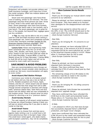<span id="page-10-0"></span>Protection) will probably not provide collision and theft insurance coverage; you'll have buy it from the rental company. Often two midsize sedans will be less expensive.

Seven and nine-passenger vans have three rows of seating, similar to US minivans. The ninepassenger assumes three persons per seat—three in front, three in the center seat and three in back. Seven-passenger vans have front buckets, a shorter center bench seat or two buckets, and a rear bench. The seven-passenger van is great for four or five people, but beyond that, luggage space can be a problem.

 $\checkmark$  **Tip:** You may not be able to rely on a credit card for CDW and theft insurance when renting a nine-passenger van. Some card companies exclude it from their insurance coverage (except for the American Express Premium coverage). Vans become scarce every summer. Book early.

**Luxury Cars:** Power and engineering make them somewhat safer than the run-of-the-mill Opels, VWs, Skodas, and Fords, but at a higher price. Expect to pay more than \$300 per week for an E-class Mercedes, 5-series BMW, or Audi A6. Weekly prices for S-Class Mercedes, 7-Series BMW, or Audi A8 will be much higher and will not be covered by most credit card insurance.

# **SAVE MONEY & AVOID PROBLEMS**

Here are recommendations every Europe car rental customer should consider when deciding on a rental car. Not every recommendation will apply to every renter:

### *Avoid Airport/Rail Station Pickups*

Commence your rental at a European airport or rail station and you may pay a tax as high as 23.5%. Notable exceptions are France, Spain, Ireland, and the U.K. where airport and rail station charges are flat fees that range from \$35 to \$80. Though several companies in Germany still charge hefty "premium station fees," both Hertz and Avis airport and rail station rates are now comparable to city location prices. There is almost never an extra charge for returning a car to a "premium station."

### *Avoid Sunday Rentals*

The vast majority of off-airport rental locations in Europe are closed Sundays making it likely you will pay an airport pickup fee if you plan to start a rental on that day.

### *Avoid Small Towns*

Fewer cars to choose from and less savvy agents make renting a car in a small town a bit more adventurous than in Europe's major cities. The small-town rental agent, who deals mainly with European customers, may not be completely

### *More Customer Service Results*

### *Dear Andy,*

*Thank you for bringing our mutual client's rental concerns to our attention.*

*Please be advised, we have received a response from Europcar. They have asked us to forward their apologies for the disappointment with their service.*

*Europcar have agreed to refund the cost of the GPS, in full. The £149.99 should post to the credit card within the next 7-10 business days. (Auto Europe Customer Service)*

### *Dear Bob,*

*Thank you for bringing Mr. X's concerns to our attention.*

*Please be advised, we have refunded 50% of the rental cost, in the amount of \$136.52 and the requested €20.00 for extra tolls/fuel etc, as \$25 to the American Express ending in ####. Please allow 2-3 business days for this to post. (Auto Europe Customer Service)*

### *Dear Bob,*

*Please be advised, we have successfully disputed Hertz Germany's insurance charges. They have confirmed they have refunded the €755.23 which should post by their next statement.*

*The remaining charge of €12.99 relates to the mandatory road fee as noted in the voucher. (Auto Europe Customer Service)*

### *Dear Bob,*

*Thank you for bringing Mr. X's billing concerns to our attention.*

*Please be advised, Auto Europe has successfully disputed Avis' upgrade charge.*

*They have confirmed they have refunded the €238 Euro to the credit card presented locally. Please allow a 5-7 business days for this to post. (Auto Europe Customer Service)*

### *Hi Bob,*

*I am pleased to inform you that Auto Europe has successfully disputed Hertz's LDW/Theft protection, and Super Cover charges.*

*Hertz have confirmed they have refunded the €706.39 euro to the credit card presented locally. Please allow a few business days for this to post. (Auto Europe Customer Service)*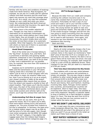<span id="page-11-0"></span>familiar with the terms and conditions of bookings made from North America. Most Europeans, for example, do not rely on a credit card for optional collision and theft insurance and the small town agent may assume you want that coverage when you do not. As a result, you may find unwanted charges on your credit card when you return home. Not understanding that North American credit cards provide free insurance, the agent may insist you purchase that coverage.

Another issue is the smaller selection of cars. Thought you may have a confirmed reservation for an automatic transmission car, many small town rental stations don't have them in their fleets; they are brought in as-needed. Occasionally the system breaks down and when the renter arrives there simply is no automatic available. When that happens, the customer is left with what's on hand and if there's no automatic manual may be the only option.

### *Avoid Small Companies*

Most of the rental cars in Europe belong to the "big three": Europcar, Avis, and Hertz. Sixt is prominent in Germany and growing rapidly elsewhere. Enterprise is now a European presence If your car breaks down, you want to be as close to help—and a replacement car—as possible. Avis, for example, has more than 350 locations in Germany alone.

Suppose you're somewhere up around the Baltic and the transmission in your VW starts making noises like a wounded cat; would you rather it be an Avis or a small company with only a few offices in major city airports? Make sure, too, that if you're picking up a car at an airport, your chosen company is really at the airport. Smaller suppliers often require that you phone from the airport and request a shuttle to their offairport location. That means you'll ride the shuttle both ways, the start of the rental and at the end. The major companies mentioned above usually have rental counters and vehicles right at the airport; you'll sign the contract then walk to the car.

### *Understanding Full-Size & Larger Cars*

If it's a nicer car you want, then go for it, spend the money. But if it's space you're after, think twice before renting luxury and premium category car. The price increase from midsize to full size is substantial. In Germany, the base price for a midsize station wagon may be as little as half the price of a full-size wagon. And, though most rental companies slot the BMW 320 wagon into the "full size" category, it has slightly less luggage space than the midsize Opel Insignia wagon. (See *About Vehicle Categories* page 17).

### *24/7 In-Europe Support*

### *Dear Andy*

*Because the letter from our credit card company certifying the collision insurance was in my name they insisted that we would have to buy insurance. Fortunately we had a copy of your email and made a call to your toll-free number at which would be approximately 2 or 3 am your time. The young woman we spoke to was very good and extremely helpful. She was able to talk to the onsite Europcar manager and tell him she was going to switch everything from the original voucher into Holly's name and that there would be no need to add insurance. Once again, just wanted to say how thankful we were for the assistance that morning.*

*Dean and Holly*

### *Stick With One Driver*

Nearly all rental companies charge a fee if you want to list more than one driver on the rental contract. Early in this report we mentioned a "best deal" price of less than \$175 on a compact car in Germany for one week. However, the deal is not so good if there will be more than one driver. Avis and Europcar in Germany, for example, both charge €9 a day to a max of €50 for additional drivers. Hertz charges €13 per day, €65 per week to a maximum of €195 per month.

### *Think Twice About International One-Way Rentals*

Two problems with a one-way rental between countries: it can be expensive and sometimes is simply not possible. The one-way charge is always in addition to other rental charges and can range from around \$100 to \$4,000. At the lower end of the scale are one-ways between such cities as Munich and Vienna, Paris and Frankfurt. Anything involving Italy, Spain, Portugal, former easternbloc countries, and Scandinavian countries will be expensive. Stick to major cities. One-ways involving small cities are frequently not possible or even more expensive. Recently a customer slated to drop a Frankfurt car in Paris decided to instead leave it in Tours. The drop fee went from \$125 to \$350. One-way fees are now common even on rentals within the same country.

# **WHY WE DON'T LIKE HOTEL DELIVERY**

Yes, in past years this was a convenience some rental companies offered free. Now, however, you'll pay at least \$35 and what if the delivered car isn't what you want? If you go yourself to the rental car station you'll likely have a choice of cars.

# **BEST RATES? GERMANY & FRANCE**

Though itinerary may limit your choice, it's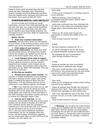<span id="page-12-0"></span>useful to know which countries have the best rental car rates. Generally, Italy, Switzerland, Austria, Portugal and the Scandinavian countries have the highest prices. Germany and France are the lowest. Get a quote at 800-521-6722.

# **EUROPEAN RENTAL CAR CHECKLIST**

So you've made your Europe car rental reservation, and your trip is fast approaching, but you fear that upon your weary arrival something will go wrong at the rental desk. Even the most savvy travelers have encountered problems. You will need to be on your toes. Begin by reading this valuable checklist:

### *Before You Go*

**• Read your voucher/reservation carefully.** This document covers all vital aspects of your rental. In the booking process, some rental details may not be discussed via e-mail or phone.

### **• Print copies of your voucher/**

**reservation confirmation**. Put these with other trip documents and you will always have contact info for the company you booked the car with, as well as the rental supplier (Avis, Hertz, etc.).

**• Local charges, know what to expect.** These can include road tax, airport tax, additional drivers, optional insurance, and any optional equipment you request. Local charges vary by country, location, and company. Know what they are before you go. READ THE VOUCHER. That way there are no surprises.

### *At the Pick-up Location*

**• Present your auto rental voucher.** The voucher or written confirmation of your booking will have a booking number (upper right corner, page 1) enabling the agent to easily find your reservation. It is also confirms the cost of your rental and is your defense against overcharges

 $∨$  **Tip:** If you reserved more than one car with the same supplier, be sure to cancel any extra bookings prior to the rental date. Otherwise the rental agent may locate the wrong reservation in the CRS (computer reservation system) and issue a contract at a different—higher—rate.

**• Call the 24/7 help line.** For our customers, most problems that arise at the rental counter can be solved in minutes via a toll-free, 24/7 customer service help line (emergency numbers are in the email sent with your voucher... do not call Gemut.com as we are not open 24/7). Let's say you've booked an automatic transmission, but it's not available when you arrive. Call the number. Promised an upgrade, but the rental agent offers a Lupo? Call one of the numbers. It's your safety net.

*Dear Andy,*

*Thank you for bringing Mr. X's billing concerns to our attention.*

*Please be advised, Auto Europe has successfully disputed Hertz's CDW & Theft Protection charges.*

*Hertz have confirmed they have refunded the €1,240.47 to the credit card presented locally. Please allow a few business days for this to post.*

*Thank you for giving Auto Europe the opportunity to resolve this matter on Mr. X's behalf.*

*(Auto Europe Customer Service)*

### *Hi Bob,*

*We have reached a solution for Mr. X.*

*He will be refunded in full for the locally purchased Roadside Assistance Insurance.*

*We apologize for any inconvenience. (Auto Europe Customer Service)*

### *Hi Bob,*

*Please be advised we have successfully disputed Hertz's additional day charges.*

*They have confirmed they have refunded the €55.07Euro. This should post by the next billing cycle to the credit card presented locally. (Auto Europe Customer Service)*

### *Dear Andy,*

*Thank you for bringing our mutual client's billing concerns to our attention.*

*Please be advised Auto Europe has received a response from Hertz. They have asked that we forward their apologies for their billing error.*

*They have refunded the cost of the GPS, in the amount of €101.15 to the credit card presented locally.*

*(Auto Europe Customer Service)*

a**Warning:** *Do not leave the rental location* unless you are satisfied with the vehicle you have been given, and the contract you have signed. Exchanging the car later on can be difficult and if you have signed a contract that calls for payment of unwanted insurance, for example, a refund is extremely unlikely.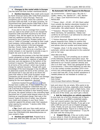<span id="page-13-0"></span>**• Changes to the rental while in Europe:** Use the same toll-free number mentioned above.

**• Decline insurance.** Most credit cards issued by North American banks offer CDW/Theft protection for auto rentals in most of Europe. There are exceptions such as Italy, where the customer must purchase CDW and theft. In all other countries, we recommend that clients decline CDW/Theft in favor of the coverage offered by the credit card. Call your credit card issuer for details.

If you plan to rely on coverage from a credit card you want to be certain you're not charged for expensive CDW and theft insurance by the rental company. First, tell the agent you do not want or need any additional insurance, and that you are covered by your credit card. Prudent renters will carry a "Letter of Coverage" provided by their credit card company. Unfortunately, you will be required to sign a rental contract in the local language - German, French, Italian, Spanish, etc. That is the law and, though it may do so as a courtesy, the rental company is not required to provide a copy in English (be sure to ask for one, however).

Complicating this process is the fact that several rental companies no longer obtain customer initials that indicate acceptance or rejection of additional services; just one signature on the bottom of the contract is required. This signifies that you agree to all terms of the contract—which may include a charge for optional insurance. Though with scant knowledge of the local language it may be difficult to determine exactly the terms of the contract, you still should look it over and ask to be shown the parts that relate to CDW (most European rental companies use the term CDW or LDW—Loss Damage Waiver) and theft insurance. In German, you're looking for the word *abgelehnt*—declined.

Customers booked through [Gemut.com/](https://www.gemut.com)Auto Europe have a safety net. If they suspect they are being incorrectly charged for CDW/theft they can call a toll-free-from-Europe number and request a note to that effect be placed in their booking record. Of course, the signed contract is the controlling legal document but in a post-rental dispute where you are claiming an unauthorized charge, that note in the record, made at the time of rental, may influence your credit card company in your favor. Some customer append this phrase under their signature when signing the contract: "I decline LDW, CDW, Theft insurance."

a**Tip:** Check with your Visa credit card as our information is that many Visa credit cards will cover the CDW/theft/LDW deductible/excess on cars rented in Italy.

**• Decline pre-paid fuel.** Prepaid fuel is a bad deal. With this offer you pay for the first

### *No Automatic? AE 24/7 Support to the Rescue*

*US ######## – Gemut.com / Ms Lilia X / CDAR / Hertz / PU: Aachen DT / DO: Aachen DT / 7 days. Conf #G########/ Status: RESOLVED*

*\*\*\*Issue: (Axel – 23:00 – 07:30) Client called from outside the Aachen downtown location to advise agent at counter was refusing to honor reservation. We called branch. No answer.* 

*\*\*\*Solution: Phoned Tobias X and Rafael X, Hertz Germany, for assistance. Tobias now confirms he will have a car delivered to client per our phone conversation.*

*\*\*\*Action Required: Please look for email or phone response from Tobias to confirm this delivery and at what time, then please contact and advise client at number and email below.*

*\*\*\*Update: (Kyle 7-3) Per email from Tobias, automatic vehicle was delivered to the customer and on her way.* 

### *Dear Bob and Andy,*

 *Good evening, I am emailing you to advise of the following resolved reservation issue. Per email from Hertz, the automatic vehicle has been delivered to our mutual customer directly and she is on their way. Hertz has apologized for the inconvenience. I have tried following up with Mrs. X on the contact number provided (###-###- ####) but unfortunately did not get an answer, a voice mail was left. If any further assistance is needed please do not hesitate to contact us.*

*Best Regards, Kyle Inman Auto Europe Reservations Manager*

tank and return the car empty. Who wants to be driving around on fumes, especially when heading to a European airport to catch a flight home. And, though you will have paid for fuel left in the tank at the end of the rental, you won't get a refund.

**• Ask for instruction on vehicle operation.**  It once took me a full five minutes just to figure out how to turn on a BMW's windshield wipers. Your car's sound system may have unfamiliar features and not be user-friendly. If you get a car with a GPS be sure it's set on English language mode. Finally, be sure you know whether you have a gas or diesel engine. Figure on a charge of at least \$500—and major inconvenience— if you fill the tank with the wrong fuel.

**• Inspect the car.** If the car is dirty inside or out, refuse it. Check for obvious and not-soobvious damage (even small scratches). Make sure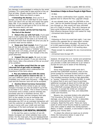<span id="page-14-0"></span>any damage is acknowledged in writing by the rental company. It's a good idea to take pictures of the car from all sides. Visually inspect tires for wear and inflation level. Make sure there's a spare.

**• Extending the Rental.** Once you're in Europe, you may want to add days to your rental. Don't just return the car late and expect the same daily rate. If you booked with us, use the 24/7 toll-free number to call back to the U.S to find out what the extra day(s) will cost.

**• When in doubt, call the toll free help line**.

### *The End of the Rental*

**• Return the car with full tank.** If pre-paid fuel is a not a good deal, then the cost of having the rental company fill the tank is an horrific one. It likely will more than double the price you pay at a normal retail service station.

**• Keep your fuel receipt.** Even if you just top-off the tank and pay in Euros, you NEED a receipt. If the agent makes a "mistake" and marks the tank even 1/4 empty, at \$18 per gallon the charge will be substantial. Your receipt is the only proof otherwise.

**• Inspect the car again.** Be sure no new dents or dings are present. If you are returning after-hours, take a few pictures of the car as proof of its condition.

**• Get written proof that the car was returned full of gas with no damage.** This is not always possible which underscores the importance of the items above.

**• Pay any balance due with the same credit card you used to reserve the car.** If you use a different card or pay in cash you will invalidate your credit card insurance. v Tip: Debit card and the Discover card will not be accepted.

**• Decline Direct Currency Conversion (DCC)**. When the time comes to pay car rental charges in Europe you may be asked if you'd like to be billed in U.S. dollars. This is Direct Currency Conversion and is simply a device whereby the purchaser pays for a worthless service. DCC enables the vendor, and the company that sells DCC to the vendor, to use an exchange rate favorable to them but not to you. Consumer advocates say DCC on an overseas transaction will cost the customer an additional 3%-5%. Demand to pay in euros with your credit card and take advantage of the best exchange rate available.

# **OVERSEAS CAR RENTAL BROKERS**

In the last few years a number of non-USbased, European car rental websites have come online. For the most part, they are headquartered in the U.K., Ireland, Greece, South Africa and New

# *Sometimes it Helps to Know People in High Places*

### *Hi Bob,*

*Per the below confirmation from supplier, they've agreed now to refund the FULL upgrade charge.* 

*As you already know, and I'm CERTAIN on this one - had he not booked through Gemut.com, and you through us, they would not have refunded any of it (right or wrong). They did it because we have some influence with the supplier and used that influence because Gemut.com asked for help. (Unnamed Auto Europe VP)*

### *Hi Bob,*

*Following on from my email last night, I can now confirm the upgrade fee on reservation number ######## has been refunded. The amount of £1200 (approximately \$1566) will post to the customer's account within 3-10 working days.*

Please accept my apologies for any inconvenience caused.

*(Unnamed Auto Europe VP)*

Zealand. All target the U.S. market and sometimes their prices are quite attractive. However, before you provide a credit card online for a car rental in Europe be sure you're aware of the following.

### *Insurance*

Since most European credit cards don't provide free CDW/theft insurance, many of the prices quoted by overseas brokers include this insurance. That sounds good, but there is a catch. The included insurance carries a high deductible or "excess," frequently more than \$1000. In order to reduce that to zero you'll have to purchase additional coverage at about \$15 to \$40 per day. Since your credit card requires that you decline any CDW/theft coverage offered by the rental company, to accept the rental car company's insurance invalidates your free, zero-deductible credit card insurance.

Beware, too, overseas brokers who advertise "Full Insurance, No Excess." In the event of damage, you will pay the "excess" or deductible and seek reimbursement from the overseas company. Read the fine print. There are many posts at online travel forums made by customers who were unable to obtain this reimbursement. Below, in italics, verbatim, is one broker's rules for getting your money back:

*To obtain the refund we need you to strictly follow the instructions below in case of an accident, damage or theft:*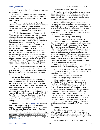<span id="page-15-0"></span>*• You have to inform immediately our local car rental partner.*

*• You have to contact the police and take a written report, even for the smallest damage made. When you pick up your rented car, please ask for details.*

*• When you return the car to the rental station, you also have to make a theft or damage report with our local car rental partner. To get back the excess, you must send these documents to Economy Car Rentals by post:*

*• Theft / damage report and police report. Vehicle must never be removed from the place of accident until the police report has been completed. In case of any accident to the car, you must immediately contact the nearest police station and make an accident report. If you do not report it to the police and comply with the requirements under the country's law, the insurance becomes invalid. The report should state if there was any influence of alcohol or drugs. It is essential that you also report any accident or damage to the Car Rental Company. In case of other damages to the rented car, the above procedure should also be followed. If the vehicle is damaged while parked, you have to report the damage to the police and to the car rental company before the car is moved.*

*• Copy of the rental agreement / contract.*

*• Receipts of payment, to prove how much you have paid, and your credit card statement where we can see the amount that was taken from your credit card.*

### *Currency Guarantee*

"Off shore" online quotes are invariably in euros or pounds sterling, with an accompanying estimate of what the US dollar amount will be. Some sites use conversion rates that make their dollar prices look very attractive. However, since your booking will be guaranteed in a foreign currency, you won't know the price in dollars until your card is actually charged. Thus it is difficult to determine what your final cost will be. The exchange rate used with the quote at the website is often not the one used when your card is charged.

Rentals made through [Gemut.com](http://Gemut.com) and Auto Europe are guaranteed in U.S. dollars and, once booked, the quoted rate locks-in and does not change regardless of currency fluctuation. And remember, if you pay for your car in euros overseas you are very likely to be assessed a 3% foreign transaction charge by your credit card company*.* For a quote call 800-521-6722 or go to [www.gemut.com.](http://www.gemut.com)

### *Cancellations and changes*

Typically, there is a charge to change or cancel bookings made through "off shore" companies. These change and cancellation fees range from about \$10 to the full amount of the rental. Read the site's "terms and conditions."

Virtually all bookings made via Gemut.com, however, can be changed as often as necessary, or canceled without penalty. As long as cancellation is prior to the time of rental, all money is refunded.

However, unless you can prove a medical emergency, it is unlikely you will receive a refund for any unused rental days.

### *What if Something Goes Wrong*

It would be nice if all of the hundreds of thousands of North Americans who rent cars in Europe each year had a smooth-as-silk experience. Unfortunately, that isn't the case. Hertz, Avis, Europcar, National and Budget —the companies who supply the vast majority of the rental cars in Europe—employ human beings. And, given the fierce competition for your rental car business, rental car company jobs are not high paying ones. While 99% of European car rental employees are eager to serve, mistakes are made. Even with computers, reservations sometimes get lost and billing errors are all too frequent.

All this raises the question, how do you contact and deal with an overseas company when:

• You are at the rental car counter and are told they don't have the kind of car you booked or they can't find your reservation?

• You return to the U.S. and find an unexplained charge on your credit card?

When you book with Gemut.com, you are provided a 24/7 toll-free-from-Europe phone number. It is staffed day and night back in the U.S. by personnel trained specifically by Auto Europe to assist customers having trouble at the rental counter. They can and will go over the head of rental counter personnel. Should you have a breakdown (doesn't happen often but it does happen) you may have to deal with a rental company that is far from your location and you may have to wait days - not hours - to get a replacement car. Our major suppliers, Avis, Hertz, and Europcar, have thousands of offices all over Europe.

### *Adding It All Up*

So, while it might seem that you're getting a low rental car rate from an off-shore website, any of the following occurrences could not only be inconvenient but wind up costing money you didn't plan to spend:

• If you get a scratch (or worse) on your car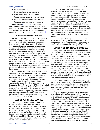- If the dollar drops
- If you need to change your rental
- If you need to cancel your rental
- If you are overcharged on your credit card
- If there is a mix-up in your reservation
- If you return the car a day or more early

**Final Note:** Gemut.com books all its European rental car and lease customers with Auto Europe, which, in many instances, provides special rates not offered to the general public. Phone us at 800-521-6722 or [click for a quote](http://www.gemut.com/car-rentals/rental-quote.html)

# **NAVIGATION: GPS - MAPS**

Be aware that the GPS device provided with your European rental car may work only in the country in which it is rented. And don't expect there to be an instruction book in English. A GPS does not replace, but supplements, good 1:200,000 or 1:150,000 scale maps. Even the best GPS devices sometimes create puzzling routes. So be sure that among the items you load into your European rental car are maps of the areas you will travel. That way you'll quickly know when the GPS is sending you the long way 'round. As old-fashioned as they may be, maps provide an overall perspective of the region and are useful in quickly locating interesting towns and sights. While the GPS is great in the countryside between towns and villages, it's positively indispensable in large cities.

Many experts say good portable GPS devices are superior to any automobile factory-installed GPS. Our own experience with a Garmin GPS bears that out...and, unlike many a European rental car's GPS, it works throughout Europe. a**Technology Alert:** The Google Maps app in your smartphone will work at least as well in Europe as the vast majority of GPS devices rented from rental companies. The only hitch in Europe is paying for data (WiFi in rental cars is often available at about \$10 per day). You can probably buy a data package from your phone service provider that will be cheaper than renting a GPS. Just monitor your data usage.

# **ABOUT VEHICLE CATEGORIES**

The categories to which European rental companies assign their vehicles is often inconsistent and confusing. For example, some companies put the Audi A3 in the intermediate category. Size-wise, however, it's a compact; no larger than the VW Golf, Opel Astra, or Ford Focus. Most rental companies put the Mercedes C-Class and the BMW 3 Series in the full-size category, though neither car is a large as most intermediate category vehicles.

In France, however, full-size could mean a Peugeot 607—192 inches long and 21 cubic feet of trunk space. We say "could" because one should never forget that specific makes or models are never guaranteed by European car rental companies, only a category is promised such as economy, compact, intermediate, standard, fullsize, luxury, etc. So the 64-euro question is, what happens when you show up at the rental counter in Paris expecting that 192-inch Peugeot and they hand you the keys to a "full-size" C-class Mercedes, which is almost a foot shorter and has much less luggage capacity? Even the luxury/premium category E-class Mercedes is just 191 inches in length.

If you're spending more money for a larger rental car in Europe, make sure the cars in the category you're booking are truly bigger, not just more luxurious than the category below.

# **WANT A CERTAIN MAKE/MODEL?**

Many rental car customers have their hearts set on a specific make and model car: "It's what I drive at home;" "I might buy one;" "It's exactly what we need." "It's what I had last year and it was perfect." "Oh, and I gotta' have diesel."

Unless by chance the exact car you want is on the lot when you arrive for pick-up, you will get a car in the category booked. Instead of the VW Passat you desperately want, it may be a Ford Mondeo, Opel Insignia, Skoda Octavia or one of perhaps half a dozen other cars in the intermediate category. In fact, when you smartly booked several months in advance of your trip, the rental company may not have even known the composition of its fleet on the date of your rental.

Here, roughly, are the main categories: mini, economy, compact, intermediate, standard, fullsize, SUV, luxury, premium...plus station wagons and automatics in most of those categories. There are also vans, SUVs, sports cars, and convertibles... both manual and automatic.

A rental company's reluctance to guarantee a certain car with certain equipment at a certain future date, is understandable. It's difficult enough to guarantee a category, let alone a specific make and model. Let's say a multi-national company in Germany such as Europcar has 30 different car categories. It might be more. We'll use compacts as an example. There's a compact sedan manual, a compact sedan automatic, a compact station wagon manual, and a compact station wagon automatic. If Europcar decides to have a diesel version of each of those compact categories they have just doubled their compact categories from four to eight. Apply that to all categories and there are now 60 categories rather than 30. Instead of making sure 30 different car categories are available at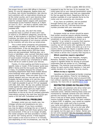the proper time at some 400 offices in Germany alone, it's now 60 categories. Realize there are no-shows, last minute cancellations, late returns, and customers with no reservations showing up at the rental counter, and it soon becomes clear that rental companies can only estimate their need for compact station wagons with automatic transmission at the Frankfurt Airport at 3:30pm on June 15, 2017...let alone a specific make and model compact wagon with diesel and factoryinstalled GPS.

So, you may ask, why don't the rental companies have a cushion of extra cars? Cars in reserve in 30 different categories, around the clock, at 400 locations in Germany? Great for the customer, but when cars sit they don't earn and the cost of adding thousands of non-revenue vehicles to the inventory will only drive up rental prices.

This is what rental companies will guarantee: car category, number of seat belts, air-conditioning, and transmission. If the car description on the reservation says diesel and/or GPS then those items are also guaranteed. Nothing else; not a trunk or hatchback, color, sunroof, fold-down seats, nothing. However, you can be certain of some sort of sound system including a radio, Bluetooth and/ or USB port to connect your smartphone or tablet. There will be an outlet to power your devices.

Frankly, it's time-wasting and futile to pursue a specific make or model. If the Europcar quote says BMW 3 Series and the Avis quote says Mercedes C-Class, it's probably because the company's marketing department feels those models attract more bookings when used in advertising and in issuing online quotes. There are other cars in the fullsize category and you may get one of them. Probably the best strategy is to visit the rental location a day prior to pickup and *very politely* ask if it might be possible to get an XYZ car equipped with blah, blah, blah. We say very politely because rental agents have little patience for customers seeking a specific vehicle and you might catch am agent at a bad time: "I've got four compact automatics on the lot for the six compact automatic reservations coming in the next hour and this guy wants a VW Golf with Turbodiesel and GPS?"

# **MECHANICAL PROBLEMS**

European rental cars are mostly new, low mileage vehicles and breakdowns are rare... but they do happen. If you have a problem you may be able to exchange the car or have it repaired by a dealer, but both those options may be inconvenient. If the car is no longer drivable, the rental company will have provided a number to call for 24/7 towing service. If that happens, don't expect a tow truck to arrive in 15 minutes, and depending on the circumstances, you may be expected to pay for the tow. If, for example, the clutch goes out on your manual transmission rental car, the rental company may hold you responsible for the tow and the clutch. Repairing a flat tire is another example of a cost typically borne by the renter and not covered by any insurance.

If you have car problems, and are booked through Gemut.com, you can also call for assistance on the 24/7 toll-free-from-Europe number provided with your reservation.

# **"VIGNETTES"**

European rental car drivers should be aware that certain countries require vehicles traveling on motorways and autobahns to display a special windshield or windscreen sticker known as a "vignette." A car rented in a country that requires a vignette will be properly equipped for that country, but will not come with vignettes for other countries. Thus, a traveler who picks up a car in a country which does not require a vignette will be responsible for purchasing the necessary sticker if the vehicle is driven into a country that requires it.

### *Which countries require vignettes?*

Austria, Bulgaria, Czech Republic, Hungary, Romania, Slovakia, Slovenia and Switzerland require a vignette sticker for driving on principal motorways that are similar to U.S. Interstate highways. The motorist must purchase a different sticker for each country that requires it. Cost and validity duration of a vignette varies by country.

### *Where to buy a vignette*

Vignettes can be purchased at border crossings and nearby gas stations. Fines for not displaying the proper windshield sticker start at around €100. Cars without vignettes can be detected by roadside cameras. For more info on vignettes [click here](http://www.gemut.com/car-rentals/rental-car-tips-and-advice/4012-driving-in-europe-vignettesdriving-stickers.html).

# **RESTRICTED ZONES IN ITALIAN CITIES**

We caution all customers who drive rental cars in Italian cities, particularly Florence, to avoid restricted zones. Vehicles entering these zones are monitored by roadside cameras and cars without permits are ticketed. Some unaware visitors who drive in and out of these zones multiple times receive multiple tickets. The fine for each violation is about €100. In addition, your rental car supplier will charge your credit card a fee to provide your name and address to the ticketing agency. Violators are notified by mail up to one year after the date of the violation. These restricted zones are signed, but the signs are in Italian. Rental cars do not come equipped with the necessary permits. Read more about this at [http://www.bella-toscana.](http://www.bella-toscana.com/traffic_violations_italy.htm) [com/traffic\\_violations\\_italy.htm](http://www.bella-toscana.com/traffic_violations_italy.htm).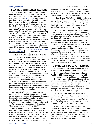# **BEWARE MULTIPLE RESERVATIONS**

It's easy to book rental cars online. Payment is often not required to hold a reservation. Problem is you might get one too many. Let's say you book Avis online, then call Gemut.com for a quote and find they have a lower price, also with Avis. You book the car with Gemut but, because there was no payment involved with the first booking, you forget all about it. Now, at the rental counter the agent uses your name to call up your booking in his reservation system. Maybe he sees two bookings, maybe he just sees the first, higher-priced booking, and that is the one he uses to print your contract. In your jet-lagged state, you sign the documents that are put in front of you without giving them much scrutiny. When you return to the U.S. you get a nasty surprise, you paid the higher rate. Avoid this by canceling all bookings except the one you want, and make sure the rental agent is handed a copy of the voucher you were sent by Gemut.com. (Get an email quote at [http://www.gemut.com/](http://www.gemut.com/rental-quote.html) [rental-quote.html](http://www.gemut.com/rental-quote.html) or phone 800-521-6722.)

# **DRIVING A CAR TO [EASTERN EUROPE](http://blog.theeuropetraveler.com/2008/02/rental-cars-in-eastern-europe.html)**

You may want to drive a rental car into Europe's "eastern" countries (essentially those that were behind the Iron Curtain until 1989). Since most travelers fly to western Europe, landing in cities like Frankfurt, Munich, Amsterdam, Paris and Rome, the most common eastern travel scenario is to rent the car in the west and drive into the east. The most visited countries by car from the west are the Czech Republic, Hungary and Poland. Slovenia and Croatia are also popular. Only the most adventurous head for countries such as Bosnia, Romania, Bulgaria, and Lithuania.

Germany is probably the best place to start when considering an eastern auto tour. Vienna's proximity to several eastern countries makes it the next-best starting point, though Austria rates are significantly higher than Germany.

An "Open jaw" itinerary is appealing but expensive. The idea of picking up a car in Munich or Frankfurt and dropping it in Prague or Budapest is appealing but rental companies have been slow to allow such travel. The few companies that permit one-way rentals between eastern and western countries charge substantial drop fees. They range from about \$350 to \$2,000.

Rental companies aren't keen to let cars go east. Unintended "one-way" rentals (the car is stolen) are still not an uncommon occurrence. Thus, they only allow certain car categories and brands into the east. Forget Mercedes, BMW, or Audi. If you're taking a car east, it will likely be an Opel, Ford, or Skoda. You'll also find it difficult to rent an

automatic transmission for east travel. No matter what kind of car you drive east, make sure you park it overnight in a locked or patrolled garage, and be careful where you park during the day.

a**East Travel Alert.** Now in 2020, most major suppliers will allow some cars to travel to "Zone 1" — Czech Republic, Croatia, Hungary, Poland, Slovakia, and Slovenia—at no additional charge. Those \$135 to \$149 per week cars we referred to earlier are now OK for Zone 1 driving.

For "Zone two"—countries such as Romania, Bosnia, Serbia, et al—plan to pay *substantially* more. You may also be required to rent the car for a minimum period, pay "cross-border" fees, and purchase extra insurance.

Though borders are more open these days, and you may not need paperwork to cross them, don't let that tempt you to take a car east without permission. To do so would violate the rental contract and thus void all insurance coverage. Check other requirements for driving in eastern countries. Poland, for example, requires an international driver's permit.

If you get quotes online at websites such as Expedia, Travelocity, or rental company websites, don't assume these prices will permit east travel. Best to get guidance at 800-521-6722.

# **DRIVING EUROPE'S SUPER-HIGHWAYS**

*Though written with Germany in mind, this advice applies to all European super-highways.*

Driving the Autobahn is serious business. At 130 to 200 kilometers per hour (80 to 125 mph)—occasionally even higher—things happen much more quickly on European highways than on our more sedate, though less predictable, freeways and turnpikes. Here are some thoughts on driving them. Though they apply mostly to Germany, where there is often no limit, the principles are the same in other countries where the limit is typically about 80 mph.

### *Left lane, right lane, big difference*

First-time Germany Autobahn drivers either enjoy the fast driving or are appalled by it. Very quickly, they learn that only the fastest drivers those traveling 160 to 225 kilometers per hour (100 to 141 mph)—can stay in the left lane.

At speeds below that, they are repeatedly required to vacate the left lane by faster cars. Some come on so quickly they will virtually materialize in your rearview mirror with their left turn signal blinking and, if you're slow to react, headlights flashing. It doesn't take a car going 125 mph very long to overtake one going 90 mph.